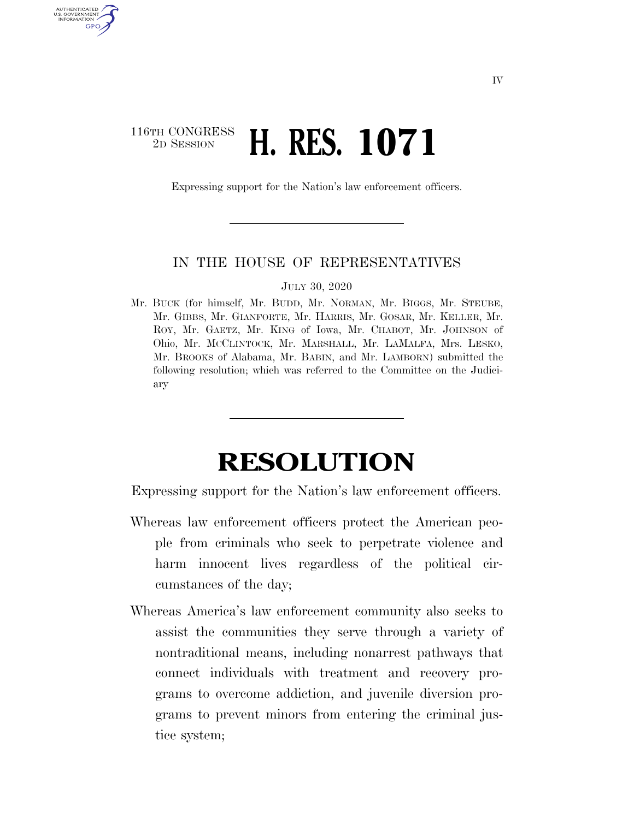## $\begin{array}{c} \textbf{116TH CONGRESS} \\ \textbf{2D} \textbf{SESSION} \end{array}$ 2D SESSION **H. RES. 1071**

AUTHENTICATED U.S. GOVERNMENT GPO

Expressing support for the Nation's law enforcement officers.

## IN THE HOUSE OF REPRESENTATIVES

## JULY 30, 2020

Mr. BUCK (for himself, Mr. BUDD, Mr. NORMAN, Mr. BIGGS, Mr. STEUBE, Mr. GIBBS, Mr. GIANFORTE, Mr. HARRIS, Mr. GOSAR, Mr. KELLER, Mr. ROY, Mr. GAETZ, Mr. KING of Iowa, Mr. CHABOT, Mr. JOHNSON of Ohio, Mr. MCCLINTOCK, Mr. MARSHALL, Mr. LAMALFA, Mrs. LESKO, Mr. BROOKS of Alabama, Mr. BABIN, and Mr. LAMBORN) submitted the following resolution; which was referred to the Committee on the Judiciary

## **RESOLUTION**

Expressing support for the Nation's law enforcement officers.

- Whereas law enforcement officers protect the American people from criminals who seek to perpetrate violence and harm innocent lives regardless of the political circumstances of the day;
- Whereas America's law enforcement community also seeks to assist the communities they serve through a variety of nontraditional means, including nonarrest pathways that connect individuals with treatment and recovery programs to overcome addiction, and juvenile diversion programs to prevent minors from entering the criminal justice system;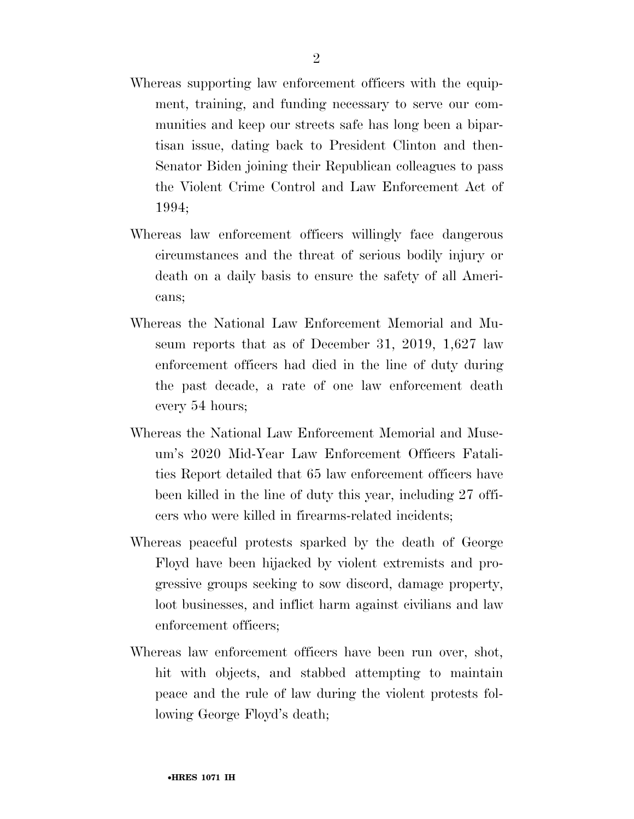- Whereas supporting law enforcement officers with the equipment, training, and funding necessary to serve our communities and keep our streets safe has long been a bipartisan issue, dating back to President Clinton and then-Senator Biden joining their Republican colleagues to pass the Violent Crime Control and Law Enforcement Act of 1994;
- Whereas law enforcement officers willingly face dangerous circumstances and the threat of serious bodily injury or death on a daily basis to ensure the safety of all Americans;
- Whereas the National Law Enforcement Memorial and Museum reports that as of December 31, 2019, 1,627 law enforcement officers had died in the line of duty during the past decade, a rate of one law enforcement death every 54 hours;
- Whereas the National Law Enforcement Memorial and Museum's 2020 Mid-Year Law Enforcement Officers Fatalities Report detailed that 65 law enforcement officers have been killed in the line of duty this year, including 27 officers who were killed in firearms-related incidents;
- Whereas peaceful protests sparked by the death of George Floyd have been hijacked by violent extremists and progressive groups seeking to sow discord, damage property, loot businesses, and inflict harm against civilians and law enforcement officers;
- Whereas law enforcement officers have been run over, shot, hit with objects, and stabbed attempting to maintain peace and the rule of law during the violent protests following George Floyd's death;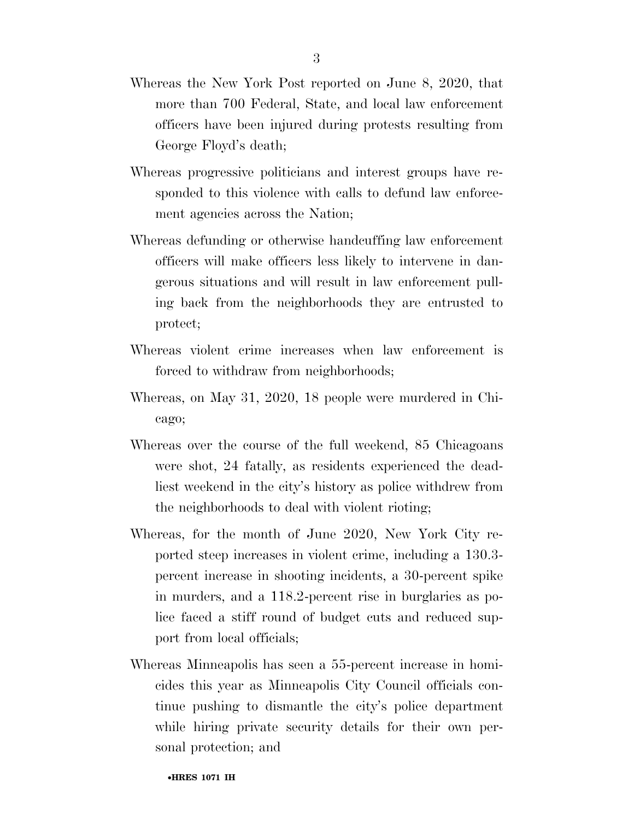- Whereas the New York Post reported on June 8, 2020, that more than 700 Federal, State, and local law enforcement officers have been injured during protests resulting from George Floyd's death;
- Whereas progressive politicians and interest groups have responded to this violence with calls to defund law enforcement agencies across the Nation;
- Whereas defunding or otherwise handcuffing law enforcement officers will make officers less likely to intervene in dangerous situations and will result in law enforcement pulling back from the neighborhoods they are entrusted to protect;
- Whereas violent crime increases when law enforcement is forced to withdraw from neighborhoods;
- Whereas, on May 31, 2020, 18 people were murdered in Chicago;
- Whereas over the course of the full weekend, 85 Chicagoans were shot, 24 fatally, as residents experienced the deadliest weekend in the city's history as police withdrew from the neighborhoods to deal with violent rioting;
- Whereas, for the month of June 2020, New York City reported steep increases in violent crime, including a 130.3 percent increase in shooting incidents, a 30-percent spike in murders, and a 118.2-percent rise in burglaries as police faced a stiff round of budget cuts and reduced support from local officials;
- Whereas Minneapolis has seen a 55-percent increase in homicides this year as Minneapolis City Council officials continue pushing to dismantle the city's police department while hiring private security details for their own personal protection; and